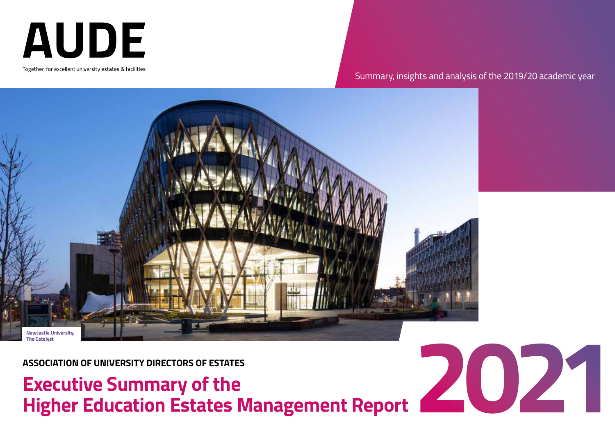**AUDE** 

Together, for excellent university estates & facilities

# Summary, insights and analysis of the 2019/20 academic year



**ASSOCIATION OF UNIVERSITY DIRECTORS OF ESTATES**

# **Executive Summary of the<br>Higher Education Estates Management Report**

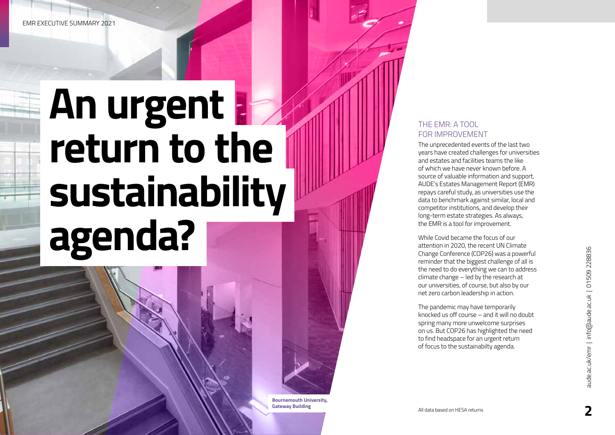# **An urgent**  return to the **sustainability agenda?**

## THE EMR: A TOOL FOR IMPROVEMENT

The unprecedented events of the last two years have created challenges for universities and estates and facilities teams the like of which we have never known before. A source of valuable information and support, AUDE's Estates Management Report (EMR) repays careful study, as universities use the data to benchmark against similar, local and competitor institutions, and develop their long-term estate strategies. As always, the EMR is a tool for improvement.

While Covid became the focus of our attention in 2020, the recent UN Climate Change Conference (COP26) was a powerful reminder that the biggest challenge of all is the need to do everything we can to address climate change – led by the research at our universities, of course, but also by our net zero carbon leadership in action.

The pandemic may have temporarily knocked us off course – and it will no doubt spring many more unwelcome surprises on us. But COP26 has highlighted the need to find headspace for an urgent return of focus to the sustainabilty agenda.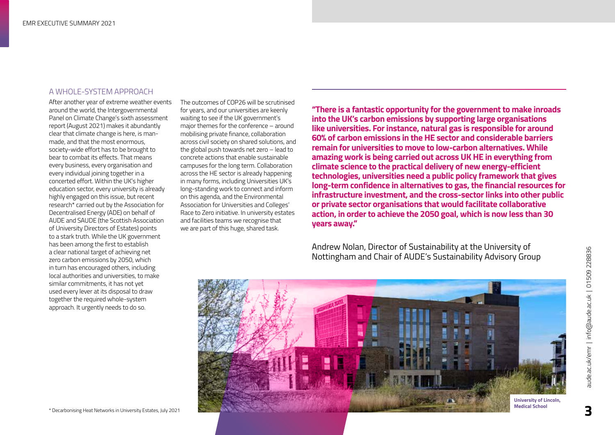#### A WHOLE-SYSTEM APPROACH

After another year of extreme weather events around the world, the Intergovernmental Panel on Climate Change's sixth assessment report (August 2021) makes it abundantly clear that climate change is here, is manmade, and that the most enormous, society-wide effort has to be brought to bear to combat its effects. That means every business, every organisation and every individual joining together in a concerted effort. Within the UK's higher education sector, every university is already highly engaged on this issue, but recent research\* carried out by the Association for Decentralised Energy (ADE) on behalf of AUDE and SAUDE (the Scottish Association of University Directors of Estates) points to a stark truth. While the UK government has been among the first to establish a clear national target of achieving net zero carbon emissions by 2050, which in turn has encouraged others, including local authorities and universities, to make similar commitments, it has not yet used every lever at its disposal to draw together the required whole-system approach. It urgently needs to do so.

The outcomes of COP26 will be scrutinised for years, and our universities are keenly waiting to see if the UK government's major themes for the conference – around mobilising private finance, collaboration across civil society on shared solutions, and the global push towards net zero – lead to concrete actions that enable sustainable campuses for the long term. Collaboration across the HE sector is already happening in many forms, including Universities UK's long-standing work to connect and inform on this agenda, and the Environmental Association for Universities and Colleges' Race to Zero initiative. In university estates and facilities teams we recognise that we are part of this huge, shared task.

**"There is a fantastic opportunity for the government to make inroads into the UK's carbon emissions by supporting large organisations like universities. For instance, natural gas is responsible for around 60% of carbon emissions in the HE sector and considerable barriers remain for universities to move to low-carbon alternatives. While amazing work is being carried out across UK HE in everything from climate science to the practical delivery of new energy-efficient technologies, universities need a public policy framework that gives long-term confidence in alternatives to gas, the financial resources for infrastructure investment, and the cross-sector links into other public or private sector organisations that would facilitate collaborative action, in order to achieve the 2050 goal, which is now less than 30 years away."**

Andrew Nolan, Director of Sustainability at the University of Nottingham and Chair of AUDE's Sustainability Advisory Group

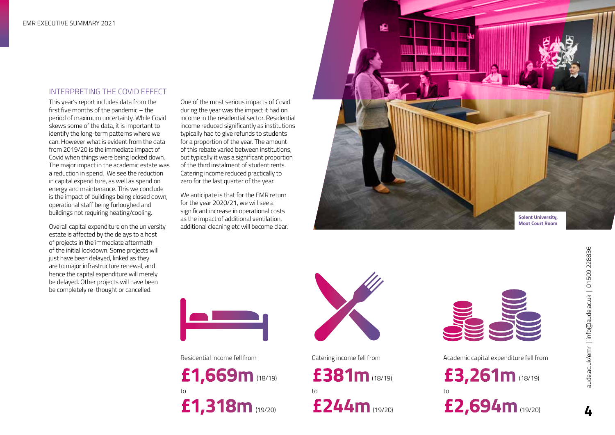### INTERPRETING THE COVID EFFECT

This year's report includes data from the first five months of the pandemic – the period of maximum uncertainty. While Covid skews some of the data, it is important to identify the long-term patterns where we can. However what is evident from the data from 2019/20 is the immediate impact of Covid when things were being locked down. The major impact in the academic estate was a reduction in spend. We see the reduction in capital expenditure, as well as spend on energy and maintenance. This we conclude is the impact of buildings being closed down, operational staff being furloughed and buildings not requiring heating/cooling.

Overall capital expenditure on the university estate is affected by the delays to a host of projects in the immediate aftermath of the initial lockdown. Some projects will just have been delayed, linked as they are to major infrastructure renewal, and hence the capital expenditure will merely be delayed. Other projects will have been be completely re-thought or cancelled.

One of the most serious impacts of Covid during the year was the impact it had on income in the residential sector. Residential income reduced significantly as institutions typically had to give refunds to students for a proportion of the year. The amount of this rebate varied between institutions, but typically it was a significant proportion of the third instalment of student rents. Catering income reduced practically to zero for the last quarter of the year.

We anticipate is that for the EMR return for the year 2020/21, we will see a significant increase in operational costs as the impact of additional ventilation, additional cleaning etc will become clear.





**£1,669m** (18/19) **£381m** (18/19) to to to  $(19/20)$  $**f244m**$  $(19/20)$ 





Residential income fell from Catering income fell from Academic capital expenditure fell from

£3,261m (18/19) £2,694m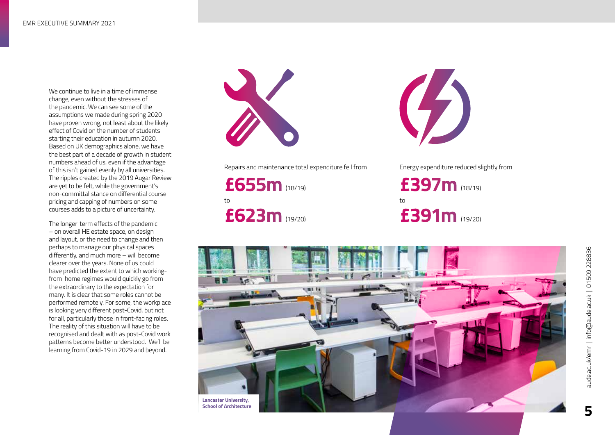We continue to live in a time of immense change, even without the stresses of the pandemic. We can see some of the assumptions we made during spring 2020 have proven wrong, not least about the likely effect of Covid on the number of students starting their education in autumn 2020. Based on UK demographics alone, we have the best part of a decade of growth in student numbers ahead of us, even if the advantage of this isn't gained evenly by all universities. The ripples created by the 2019 Augar Review are yet to be felt, while the government's non-committal stance on differential course pricing and capping of numbers on some courses adds to a picture of uncertainty.

The longer-term effects of the pandemic – on overall HE estate space, on design and layout, or the need to change and then perhaps to manage our physical spaces differently, and much more – will become clearer over the years. None of us could have predicted the extent to which workingfrom-home regimes would quickly go from the extraordinary to the expectation for many. It is clear that some roles cannot be performed remotely. For some, the workplace is looking very different post-Covid, but not for all, particularly those in front-facing roles. The reality of this situation will have to be recognised and dealt with as post-Covid work patterns become better understood. We'll be learning from Covid-19 in 2029 and beyond.



Repairs and maintenance total expenditure fell from Energy expenditure reduced slightly from

**£655m £397m** to to **£623m £391m**



£397m (18/19) £391m (19/20)

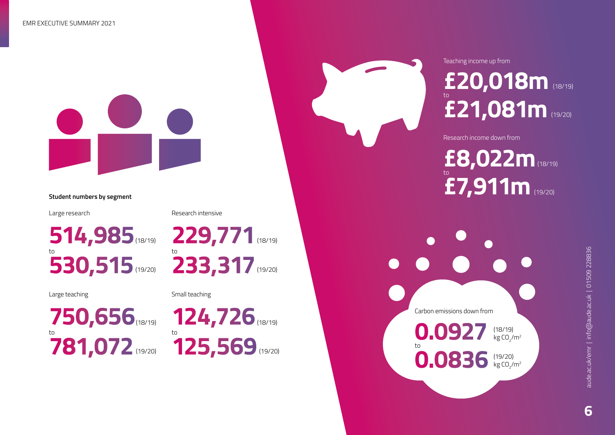

Large research

Large teaching

Research intensive

**514,985** (18/19) **229,771** (18/19) (19/20) **ADD DD DD 17** (19/20) **530,515** (19/20) **233,317** 

Small teaching

750,656 (18/19) 124,726 (18/19) (19/20) **Address 11 Address 19/20)** (19/20) **781,072** (19/20) **125,569** 



# **£20,018m** (18/19)  $\stackrel{\circ}{\textbf{2}}$ 1,081m (19/20)

Research income down from

Teaching income up from

# **£8,022m** (18/19) **£7,911m** to (19/20) **Student numbers by segment**

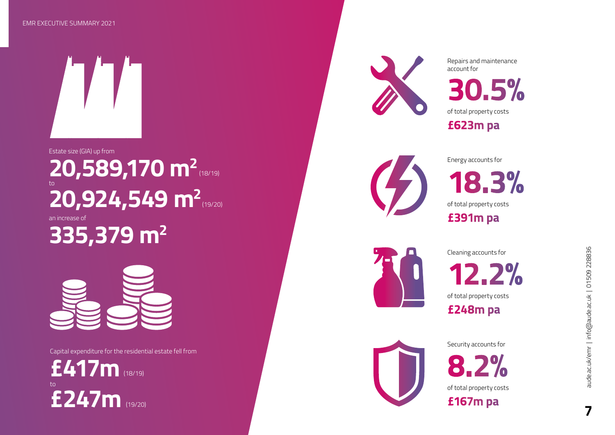#### EMR EXECUTIVE SUMMARY 2021



# Estate size (GIA) up from

# to **20,589,170 m<sup>2</sup> 20,924,549 m 2** (19/20)

an increase of **335,379 m 2**



Capital expenditure for the residential estate fell from

(19/20) **£247m** £417m to



Repairs and maintenance account for

**30.5% £623m pa** of total property costs



Energy accounts for **£391m pa 18.3%** of total property costs



Cleaning accounts for

**12.2% £248m pa** of total property costs



Security accounts for

**8.2% £167m pa** of total property costs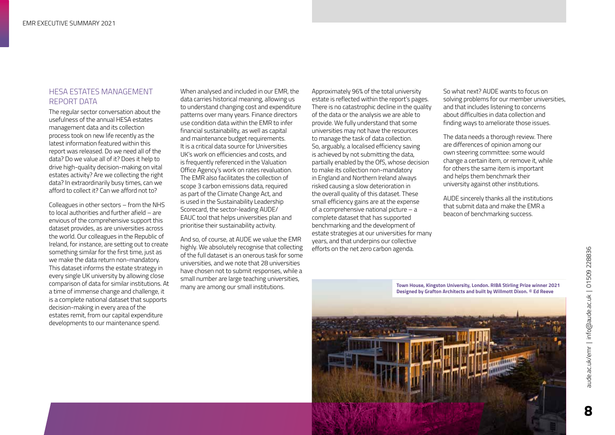### HESA ESTATES MANAGEMENT REPORT DATA

The regular sector conversation about the usefulness of the annual HESA estates management data and its collection process took on new life recently as the latest information featured within this report was released. Do we need all of the data? Do we value all of it? Does it help to drive high-quality decision-making on vital estates activity? Are we collecting the right data? In extraordinarily busy times, can we afford to collect it? Can we afford not to?

Colleagues in other sectors – from the NHS to local authorities and further afield – are envious of the comprehensive support this dataset provides, as are universities across the world. Our colleagues in the Republic of Ireland, for instance, are setting out to create something similar for the first time, just as we make the data return non-mandatory. This dataset informs the estate strategy in every single UK university by allowing close comparison of data for similar institutions. At a time of immense change and challenge, it is a complete national dataset that supports decision-making in every area of the estates remit, from our capital expenditure developments to our maintenance spend.

When analysed and included in our EMR, the data carries historical meaning, allowing us to understand changing cost and expenditure patterns over many years. Finance directors use condition data within the EMR to infer financial sustainability, as well as capital and maintenance budget requirements. It is a critical data source for Universities UK's work on efficiencies and costs, and is frequently referenced in the Valuation Office Agency's work on rates revaluation. The EMR also facilitates the collection of scope 3 carbon emissions data, required as part of the Climate Change Act, and is used in the Sustainability Leadership Scorecard, the sector-leading AUDE/ EAUC tool that helps universities plan and prioritise their sustainability activity.

And so, of course, at AUDE we value the EMR highly. We absolutely recognise that collecting of the full dataset is an onerous task for some universities, and we note that 28 universities have chosen not to submit responses, while a small number are large teaching universities, many are among our small institutions.

Approximately 96% of the total university estate is reflected within the report's pages. There is no catastrophic decline in the quality of the data or the analysis we are able to provide. We fully understand that some universities may not have the resources to manage the task of data collection. So, arguably, a localised efficiency saving is achieved by not submitting the data, partially enabled by the OfS, whose decision to make its collection non-mandatory in England and Northern Ireland always risked causing a slow deterioration in the overall quality of this dataset. These small efficiency gains are at the expense of a comprehensive national picture – a complete dataset that has supported benchmarking and the development of estate strategies at our universities for many years, and that underpins our collective efforts on the net zero carbon agenda.

So what next? AUDE wants to focus on solving problems for our member universities, and that includes listening to concerns about difficulties in data collection and finding ways to ameliorate those issues.

The data needs a thorough review. There are differences of opinion among our own steering committee: some would change a certain item, or remove it, while for others the same item is important and helps them benchmark their university against other institutions.

AUDE sincerely thanks all the institutions that submit data and make the EMR a beacon of benchmarking success.

**Town House, Kingston University, London. RIBA Stirling Prize winner 2021 Designed by Grafton Architects and built by Willmott Dixon. © Ed Reeve**

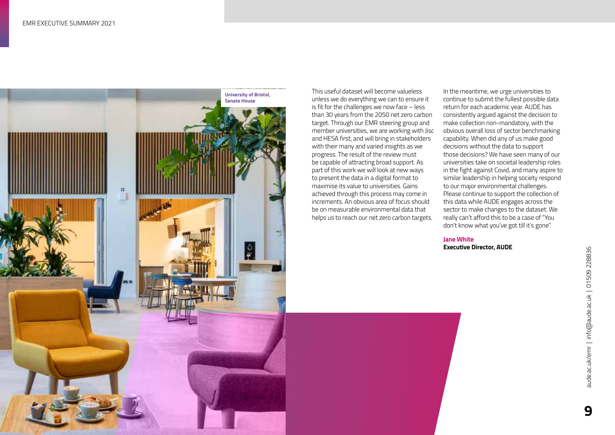

This useful dataset will become valueless unless we do everything we can to ensure it is fit for the challenges we now face – less than 30 years from the 2050 net zero carbon target. Through our EMR steering group and member universities, we are working with Jisc and HESA first, and will bring in stakeholders with their many and varied insights as we progress. The result of the review must be capable of attracting broad support. As part of this work we will look at new ways to present the data in a digital format to maximise its value to universities. Gains achieved through this process may come in increments. An obvious area of focus should be on measurable environmental data that helps us to reach our net zero carbon targets.

In the meantime, we urge universities to continue to submit the fullest possible data return for each academic year. AUDE has consistently argued against the decision to make collection non-mandatory, with the obvious overall loss of sector benchmarking capability. When did any of us make good decisions without the data to support those decisions? We have seen many of our universities take on societal leadership roles in the fight against Covid, and many aspire to similar leadership in helping society respond to our major environmental challenges. Please continue to support the collection of this data while AUDE engages across the sector to make changes to the dataset. We really can't afford this to be a case of "You don't know what you've got till it's gone".

**Jane White Executive Director, AUDE**